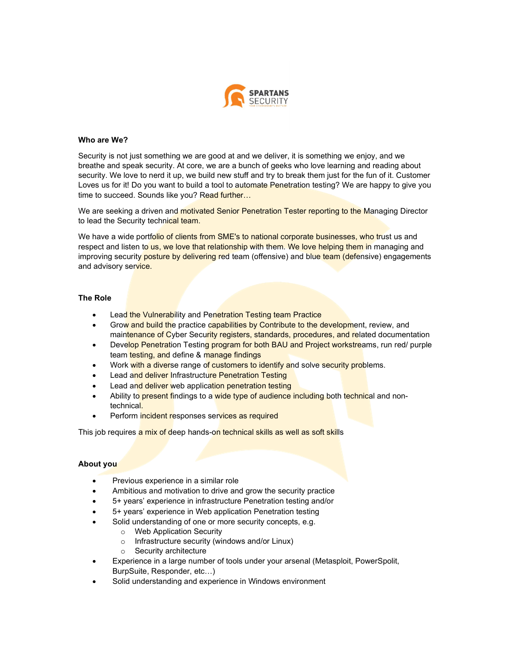

### Who are We?

Security is not just something we are good at and we deliver, it is something we enjoy, and we breathe and speak security. At core, we are a bunch of geeks who love learning and reading about security. We love to nerd it up, we build new stuff and try to break them just for the fun of it. Customer Loves us for it! Do you want to build a tool to automate Penetration testing? We are happy to give you time to succeed. Sounds like you? Read further...

We are seeking a driven and motivated Senior Penetration Tester reporting to the Managing Director to lead the Security technical team.

We have a wide portfolio of clients from SME's to national corporate businesses, who trust us and respect and listen to us, we love that relationship with them. We love helping them in managing and improving security posture by delivering red team (offensive) and blue team (defensive) engagements and advisory service.

#### The Role

- Lead the Vulnerability and Penetration Testing team Practice
- Grow and build the practice capabilities by Contribute to the development, review, and maintenance of Cyber Security registers, standards, procedures, and related documentation
- Develop Penetration Testing program for both BAU and Project workstreams, run red/ purple team testing, and define & manage findings
- Work with a diverse range of customers to identify and solve security problems.
- Lead and deliver Infrastructure Penetration Testing
- Lead and deliver web application penetration testing
- Ability to present findings to a wide type of audience including both technical and nontechnical.
- Perform incident responses services as required

This job requires a mix of deep hands-on technical skills as well as soft skills

### About you

- Previous experience in a similar role
- Ambitious and motivation to drive and grow the security practice
- 5+ years' experience in infrastructure Penetration testing and/or
- 5+ years' experience in Web application Penetration testing
	- Solid understanding of one or more security concepts, e.g.
		- o Web Application Security
		- o Infrastructure security (windows and/or Linux)
		- o Security architecture
- Experience in a large number of tools under your arsenal (Metasploit, PowerSpolit, BurpSuite, Responder, etc…)
- Solid understanding and experience in Windows environment